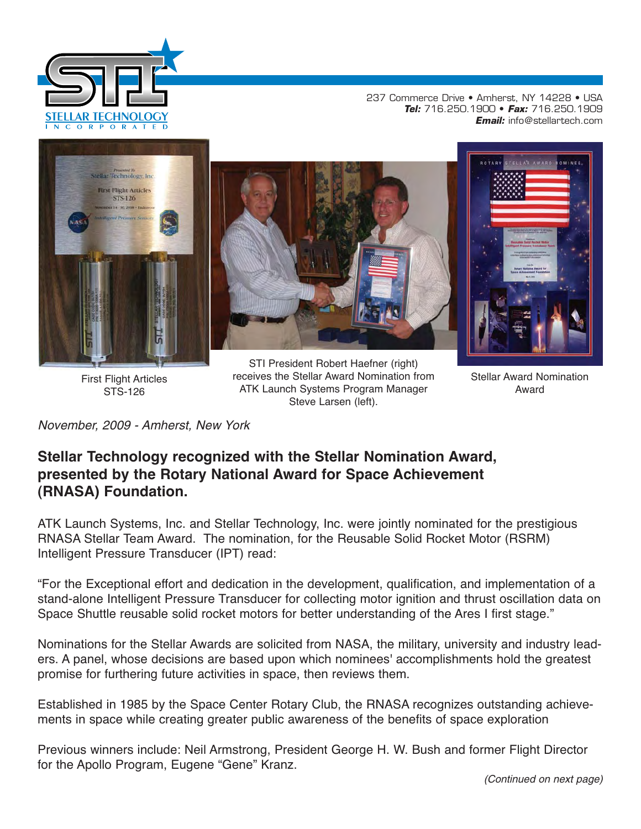

237 Commerce Drive • Amherst, NY 14228 • USA **Tel:** 716.250.1900 • **Fax:** 716.250.1909 **Email:** info@stellartech.com



First Flight Articles STS-126

STI President Robert Haefner (right) receives the Stellar Award Nomination from ATK Launch Systems Program Manager Steve Larsen (left).

Stellar Award Nomination Award

November, 2009 - Amherst, New York

## **Stellar Technology recognized with the Stellar Nomination Award, presented by the Rotary National Award for Space Achievement (RNASA) Foundation.**

ATK Launch Systems, Inc. and Stellar Technology, Inc. were jointly nominated for the prestigious RNASA Stellar Team Award. The nomination, for the Reusable Solid Rocket Motor (RSRM) Intelligent Pressure Transducer (IPT) read:

"For the Exceptional effort and dedication in the development, qualification, and implementation of a stand-alone Intelligent Pressure Transducer for collecting motor ignition and thrust oscillation data on Space Shuttle reusable solid rocket motors for better understanding of the Ares I first stage."

Nominations for the Stellar Awards are solicited from NASA, the military, university and industry leaders. A panel, whose decisions are based upon which nominees' accomplishments hold the greatest promise for furthering future activities in space, then reviews them.

Established in 1985 by the Space Center Rotary Club, the RNASA recognizes outstanding achievements in space while creating greater public awareness of the benefits of space exploration

Previous winners include: Neil Armstrong, President George H. W. Bush and former Flight Director for the Apollo Program, Eugene "Gene" Kranz.